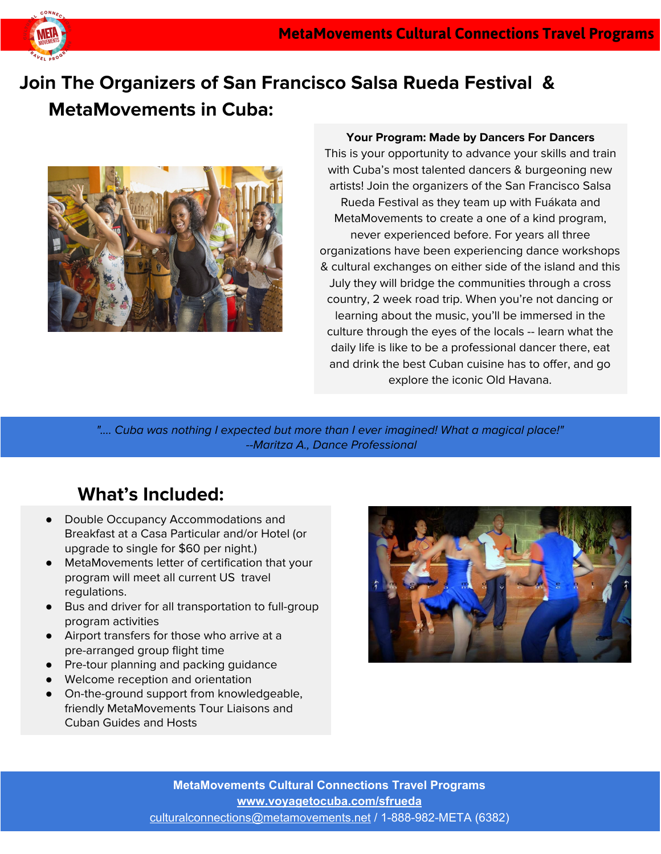

# **Join The Organizers of San Francisco Salsa Rueda Festival & MetaMovements in Cuba:**



#### **Your Program: Made by Dancers For Dancers**

This is your opportunity to advance your skills and train with Cuba's most talented dancers & burgeoning new artists! Join the organizers of the San Francisco Salsa Rueda Festival as they team up with Fuákata and MetaMovements to create a one of a kind program, never experienced before. For years all three organizations have been experiencing dance workshops & cultural exchanges on either side of the island and this July they will bridge the communities through a cross country, 2 week road trip. When you're not dancing or learning about the music, you'll be immersed in the culture through the eyes of the locals -- learn what the daily life is like to be a professional dancer there, eat and drink the best Cuban cuisine has to offer, and go explore the iconic Old Havana.

".... Cuba was nothing I expected but more than I ever imagined! What a magical place!" --Maritza A., Dance Professional

### **What's Included:**

- Double Occupancy Accommodations and Breakfast at a Casa Particular and/or Hotel (or upgrade to single for \$60 per night.)
- MetaMovements letter of certification that your program will meet all current US travel regulations.
- Bus and driver for all transportation to full-group program activities
- Airport transfers for those who arrive at a pre-arranged group flight time
- Pre-tour planning and packing guidance
- Welcome reception and orientation
- On-the-ground support from knowledgeable, friendly MetaMovements Tour Liaisons and Cuban Guides and Hosts

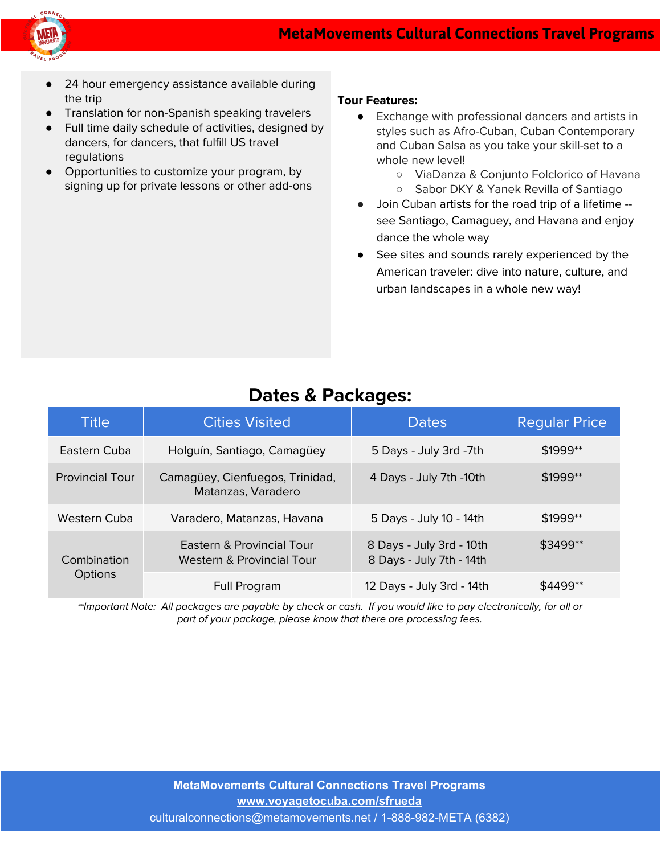



- 24 hour emergency assistance available during the trip
- Translation for non-Spanish speaking travelers
- Full time daily schedule of activities, designed by dancers, for dancers, that fulfill US travel regulations
- Opportunities to customize your program, by signing up for private lessons or other add-ons

#### **Tour Features:**

- Exchange with professional dancers and artists in styles such as Afro-Cuban, Cuban Contemporary and Cuban Salsa as you take your skill-set to a whole new level!
	- ViaDanza & Conjunto Folclorico of Havana
	- Sabor DKY & Yanek Revilla of Santiago
- Join Cuban artists for the road trip of a lifetime see Santiago, Camaguey, and Havana and enjoy dance the whole way
- See sites and sounds rarely experienced by the American traveler: dive into nature, culture, and urban landscapes in a whole new way!

| <b>Title</b>           | <b>Cities Visited</b>                                  | <b>Dates</b>                                         | <b>Regular Price</b>  |
|------------------------|--------------------------------------------------------|------------------------------------------------------|-----------------------|
| Eastern Cuba           | Holguín, Santiago, Camagüey                            | 5 Days - July 3rd -7th                               | $$1999$ **            |
| <b>Provincial Tour</b> | Camagüey, Cienfuegos, Trinidad,<br>Matanzas, Varadero  | 4 Days - July 7th -10th                              | $$1999**$             |
| Western Cuba           | Varadero, Matanzas, Havana                             | 5 Days - July 10 - 14th                              | $$1999$ <sup>**</sup> |
| Combination<br>Options | Eastern & Provincial Tour<br>Western & Provincial Tour | 8 Days - July 3rd - 10th<br>8 Days - July 7th - 14th | \$3499**              |
|                        | Full Program                                           | 12 Days - July 3rd - 14th                            | \$4499**              |

### **Dates & Packages:**

\*\*Important Note: All packages are payable by check or cash. If you would like to pay electronically, for all or part of your package, please know that there are processing fees.